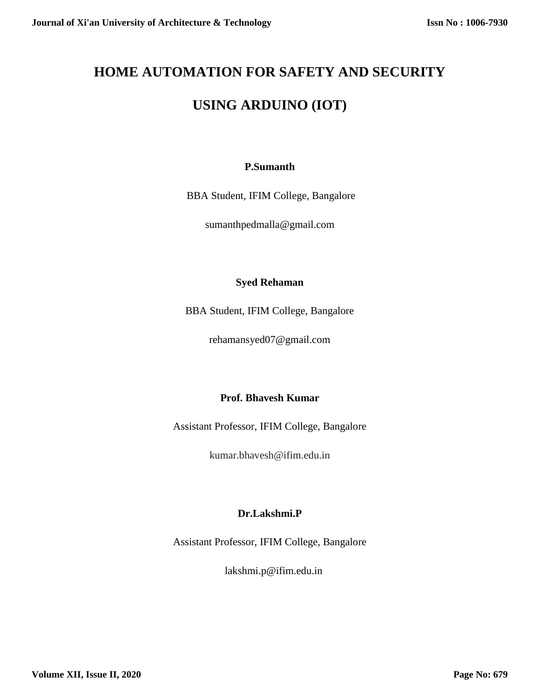# **HOME AUTOMATION FOR SAFETY AND SECURITY**

# **USING ARDUINO (IOT)**

# **P.Sumanth**

BBA Student, IFIM College, Bangalore

sumanthpedmalla@gmail.com

# **Syed Rehaman**

BBA Student, IFIM College, Bangalore

rehamansyed07@gmail.com

# **Prof. Bhavesh Kumar**

Assistant Professor, IFIM College, Bangalore

kumar.bhavesh@ifim.edu.in

# **Dr.Lakshmi.P**

Assistant Professor, IFIM College, Bangalore

lakshmi.p@ifim.edu.in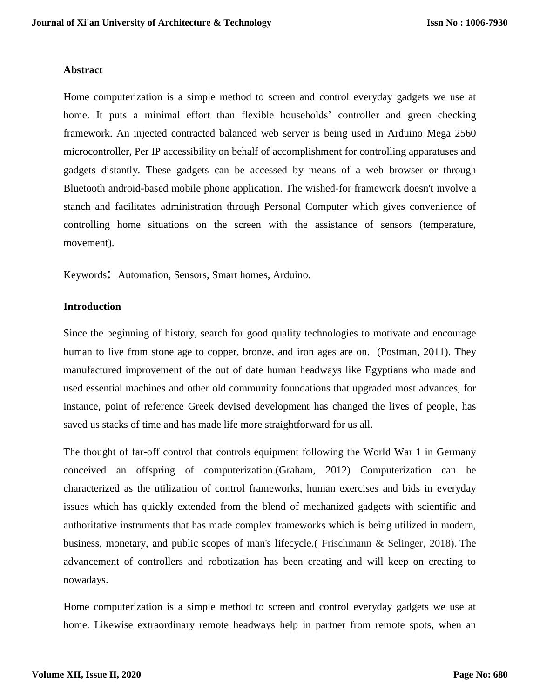#### **Abstract**

Home computerization is a simple method to screen and control everyday gadgets we use at home. It puts a minimal effort than flexible households' controller and green checking framework. An injected contracted balanced web server is being used in Arduino Mega 2560 microcontroller, Per IP accessibility on behalf of accomplishment for controlling apparatuses and gadgets distantly. These gadgets can be accessed by means of a web browser or through Bluetooth android-based mobile phone application. The wished-for framework doesn't involve a stanch and facilitates administration through Personal Computer which gives convenience of controlling home situations on the screen with the assistance of sensors (temperature, movement).

Keywords: Automation, Sensors, Smart homes, Arduino.

### **Introduction**

Since the beginning of history, search for good quality technologies to motivate and encourage human to live from stone age to copper, bronze, and iron ages are on. (Postman, 2011). They manufactured improvement of the out of date human headways like Egyptians who made and used essential machines and other old community foundations that upgraded most advances, for instance, point of reference Greek devised development has changed the lives of people, has saved us stacks of time and has made life more straightforward for us all.

The thought of far-off control that controls equipment following the World War 1 in Germany conceived an offspring of computerization.(Graham, 2012) Computerization can be characterized as the utilization of control frameworks, human exercises and bids in everyday issues which has quickly extended from the blend of mechanized gadgets with scientific and authoritative instruments that has made complex frameworks which is being utilized in modern, business, monetary, and public scopes of man's lifecycle.( Frischmann & Selinger, 2018). The advancement of controllers and robotization has been creating and will keep on creating to nowadays.

Home computerization is a simple method to screen and control everyday gadgets we use at home. Likewise extraordinary remote headways help in partner from remote spots, when an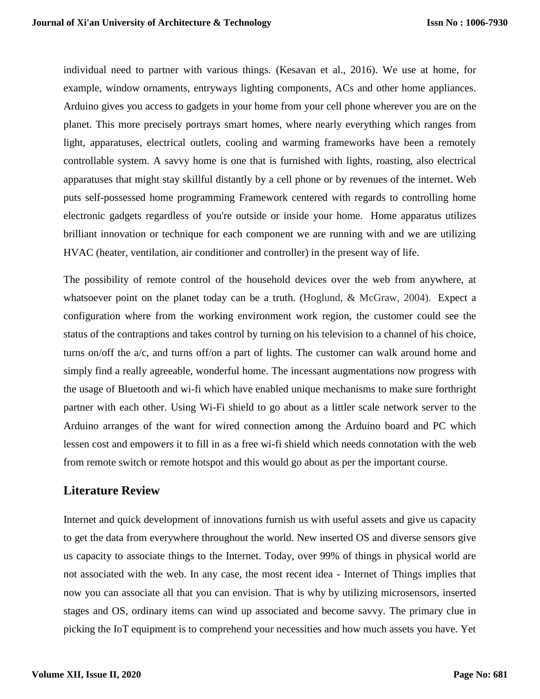individual need to partner with various things. (Kesavan et al., 2016). We use at home, for example, window ornaments, entryways lighting components, ACs and other home appliances. Arduino gives you access to gadgets in your home from your cell phone wherever you are on the planet. This more precisely portrays smart homes, where nearly everything which ranges from light, apparatuses, electrical outlets, cooling and warming frameworks have been a remotely controllable system. A savvy home is one that is furnished with lights, roasting, also electrical apparatuses that might stay skillful distantly by a cell phone or by revenues of the internet. Web puts self-possessed home programming Framework centered with regards to controlling home electronic gadgets regardless of you're outside or inside your home. Home apparatus utilizes brilliant innovation or technique for each component we are running with and we are utilizing HVAC (heater, ventilation, air conditioner and controller) in the present way of life.

The possibility of remote control of the household devices over the web from anywhere, at whatsoever point on the planet today can be a truth. (Hoglund,  $\&$  McGraw, 2004). Expect a configuration where from the working environment work region, the customer could see the status of the contraptions and takes control by turning on his television to a channel of his choice, turns on/off the a/c, and turns off/on a part of lights. The customer can walk around home and simply find a really agreeable, wonderful home. The incessant augmentations now progress with the usage of Bluetooth and wi-fi which have enabled unique mechanisms to make sure forthright partner with each other. Using Wi-Fi shield to go about as a littler scale network server to the Arduino arranges of the want for wired connection among the Arduino board and PC which lessen cost and empowers it to fill in as a free wi-fi shield which needs connotation with the web from remote switch or remote hotspot and this would go about as per the important course.

# **Literature Review**

Internet and quick development of innovations furnish us with useful assets and give us capacity to get the data from everywhere throughout the world. New inserted OS and diverse sensors give us capacity to associate things to the Internet. Today, over 99% of things in physical world are not associated with the web. In any case, the most recent idea - Internet of Things implies that now you can associate all that you can envision. That is why by utilizing microsensors, inserted stages and OS, ordinary items can wind up associated and become savvy. The primary clue in picking the IoT equipment is to comprehend your necessities and how much assets you have. Yet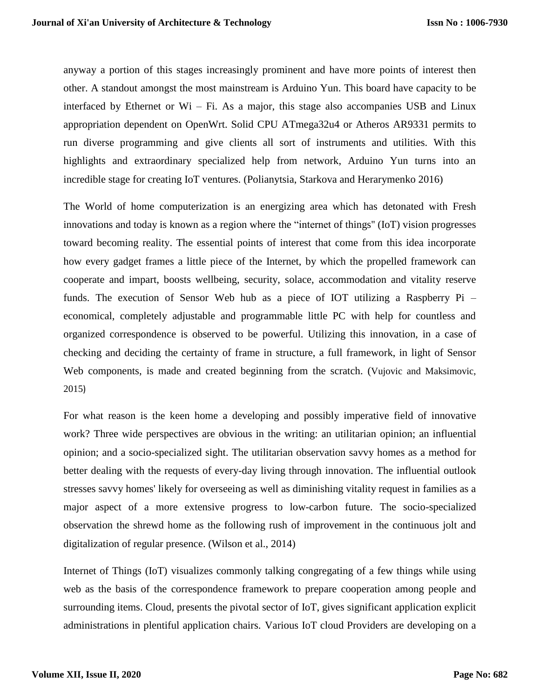anyway a portion of this stages increasingly prominent and have more points of interest then other. A standout amongst the most mainstream is Arduino Yun. This board have capacity to be interfaced by Ethernet or Wi – Fi. As a major, this stage also accompanies USB and Linux appropriation dependent on OpenWrt. Solid CPU ATmega32u4 or Atheros AR9331 permits to run diverse programming and give clients all sort of instruments and utilities. With this highlights and extraordinary specialized help from network, Arduino Yun turns into an incredible stage for creating IoT ventures. (Polianytsia, Starkova and Herarymenko 2016)

The World of home computerization is an energizing area which has detonated with Fresh innovations and today is known as a region where the "internet of things'' (IoT) vision progresses toward becoming reality. The essential points of interest that come from this idea incorporate how every gadget frames a little piece of the Internet, by which the propelled framework can cooperate and impart, boosts wellbeing, security, solace, accommodation and vitality reserve funds. The execution of Sensor Web hub as a piece of IOT utilizing a Raspberry Pi – economical, completely adjustable and programmable little PC with help for countless and organized correspondence is observed to be powerful. Utilizing this innovation, in a case of checking and deciding the certainty of frame in structure, a full framework, in light of Sensor Web components, is made and created beginning from the scratch. (Vujovic and Maksimovic, 2015)

For what reason is the keen home a developing and possibly imperative field of innovative work? Three wide perspectives are obvious in the writing: an utilitarian opinion; an influential opinion; and a socio-specialized sight. The utilitarian observation savvy homes as a method for better dealing with the requests of every-day living through innovation. The influential outlook stresses savvy homes' likely for overseeing as well as diminishing vitality request in families as a major aspect of a more extensive progress to low-carbon future. The socio-specialized observation the shrewd home as the following rush of improvement in the continuous jolt and digitalization of regular presence. (Wilson et al., 2014)

Internet of Things (IoT) visualizes commonly talking congregating of a few things while using web as the basis of the correspondence framework to prepare cooperation among people and surrounding items. Cloud, presents the pivotal sector of IoT, gives significant application explicit administrations in plentiful application chairs. Various IoT cloud Providers are developing on a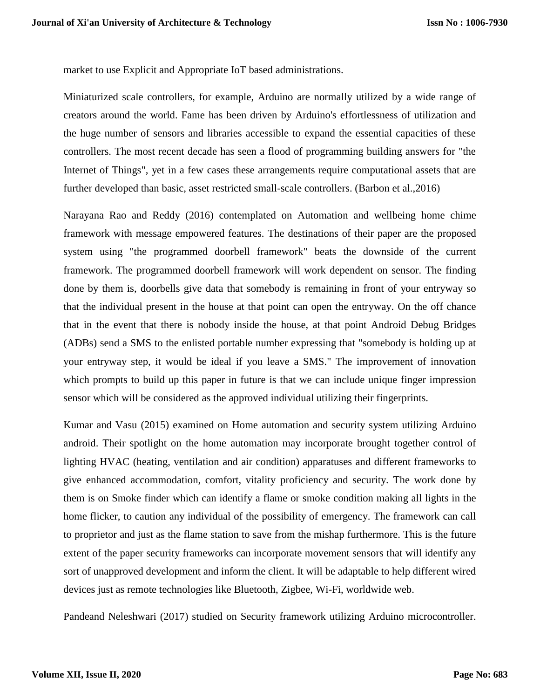market to use Explicit and Appropriate IoT based administrations.

Miniaturized scale controllers, for example, Arduino are normally utilized by a wide range of creators around the world. Fame has been driven by Arduino's effortlessness of utilization and the huge number of sensors and libraries accessible to expand the essential capacities of these controllers. The most recent decade has seen a flood of programming building answers for "the Internet of Things", yet in a few cases these arrangements require computational assets that are further developed than basic, asset restricted small-scale controllers. (Barbon et al.,2016)

Narayana Rao and Reddy (2016) contemplated on Automation and wellbeing home chime framework with message empowered features. The destinations of their paper are the proposed system using "the programmed doorbell framework" beats the downside of the current framework. The programmed doorbell framework will work dependent on sensor. The finding done by them is, doorbells give data that somebody is remaining in front of your entryway so that the individual present in the house at that point can open the entryway. On the off chance that in the event that there is nobody inside the house, at that point Android Debug Bridges (ADBs) send a SMS to the enlisted portable number expressing that "somebody is holding up at your entryway step, it would be ideal if you leave a SMS." The improvement of innovation which prompts to build up this paper in future is that we can include unique finger impression sensor which will be considered as the approved individual utilizing their fingerprints.

Kumar and Vasu (2015) examined on Home automation and security system utilizing Arduino android. Their spotlight on the home automation may incorporate brought together control of lighting HVAC (heating, ventilation and air condition) apparatuses and different frameworks to give enhanced accommodation, comfort, vitality proficiency and security. The work done by them is on Smoke finder which can identify a flame or smoke condition making all lights in the home flicker, to caution any individual of the possibility of emergency. The framework can call to proprietor and just as the flame station to save from the mishap furthermore. This is the future extent of the paper security frameworks can incorporate movement sensors that will identify any sort of unapproved development and inform the client. It will be adaptable to help different wired devices just as remote technologies like Bluetooth, Zigbee, Wi-Fi, worldwide web.

Pandeand Neleshwari (2017) studied on Security framework utilizing Arduino microcontroller.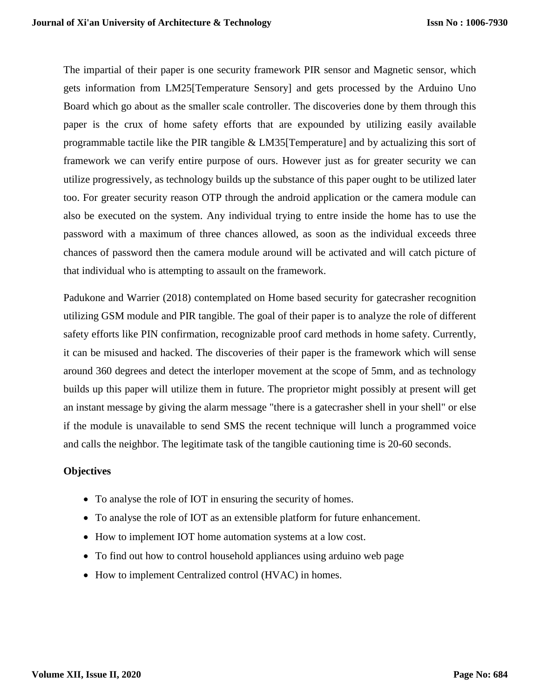The impartial of their paper is one security framework PIR sensor and Magnetic sensor, which gets information from LM25[Temperature Sensory] and gets processed by the Arduino Uno Board which go about as the smaller scale controller. The discoveries done by them through this paper is the crux of home safety efforts that are expounded by utilizing easily available programmable tactile like the PIR tangible & LM35[Temperature] and by actualizing this sort of framework we can verify entire purpose of ours. However just as for greater security we can utilize progressively, as technology builds up the substance of this paper ought to be utilized later too. For greater security reason OTP through the android application or the camera module can also be executed on the system. Any individual trying to entre inside the home has to use the password with a maximum of three chances allowed, as soon as the individual exceeds three chances of password then the camera module around will be activated and will catch picture of that individual who is attempting to assault on the framework.

Padukone and Warrier (2018) contemplated on Home based security for gatecrasher recognition utilizing GSM module and PIR tangible. The goal of their paper is to analyze the role of different safety efforts like PIN confirmation, recognizable proof card methods in home safety. Currently, it can be misused and hacked. The discoveries of their paper is the framework which will sense around 360 degrees and detect the interloper movement at the scope of 5mm, and as technology builds up this paper will utilize them in future. The proprietor might possibly at present will get an instant message by giving the alarm message "there is a gatecrasher shell in your shell" or else if the module is unavailable to send SMS the recent technique will lunch a programmed voice and calls the neighbor. The legitimate task of the tangible cautioning time is 20-60 seconds.

## **Objectives**

- To analyse the role of IOT in ensuring the security of homes.
- To analyse the role of IOT as an extensible platform for future enhancement.
- How to implement IOT home automation systems at a low cost.
- To find out how to control household appliances using arduino web page
- How to implement Centralized control (HVAC) in homes.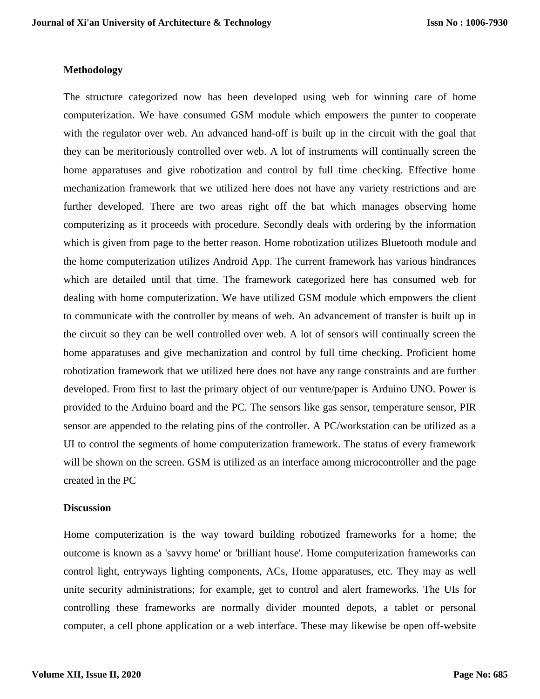#### **Methodology**

The structure categorized now has been developed using web for winning care of home computerization. We have consumed GSM module which empowers the punter to cooperate with the regulator over web. An advanced hand-off is built up in the circuit with the goal that they can be meritoriously controlled over web. A lot of instruments will continually screen the home apparatuses and give robotization and control by full time checking. Effective home mechanization framework that we utilized here does not have any variety restrictions and are further developed. There are two areas right off the bat which manages observing home computerizing as it proceeds with procedure. Secondly deals with ordering by the information which is given from page to the better reason. Home robotization utilizes Bluetooth module and the home computerization utilizes Android App. The current framework has various hindrances which are detailed until that time. The framework categorized here has consumed web for dealing with home computerization. We have utilized GSM module which empowers the client to communicate with the controller by means of web. An advancement of transfer is built up in the circuit so they can be well controlled over web. A lot of sensors will continually screen the home apparatuses and give mechanization and control by full time checking. Proficient home robotization framework that we utilized here does not have any range constraints and are further developed. From first to last the primary object of our venture/paper is Arduino UNO. Power is provided to the Arduino board and the PC. The sensors like gas sensor, temperature sensor, PIR sensor are appended to the relating pins of the controller. A PC/workstation can be utilized as a UI to control the segments of home computerization framework. The status of every framework will be shown on the screen. GSM is utilized as an interface among microcontroller and the page created in the PC

#### **Discussion**

Home computerization is the way toward building robotized frameworks for a home; the outcome is known as a 'savvy home' or 'brilliant house'. Home computerization frameworks can control light, entryways lighting components, ACs, Home apparatuses, etc. They may as well unite security administrations; for example, get to control and alert frameworks. The UIs for controlling these frameworks are normally divider mounted depots, a tablet or personal computer, a cell phone application or a web interface. These may likewise be open off-website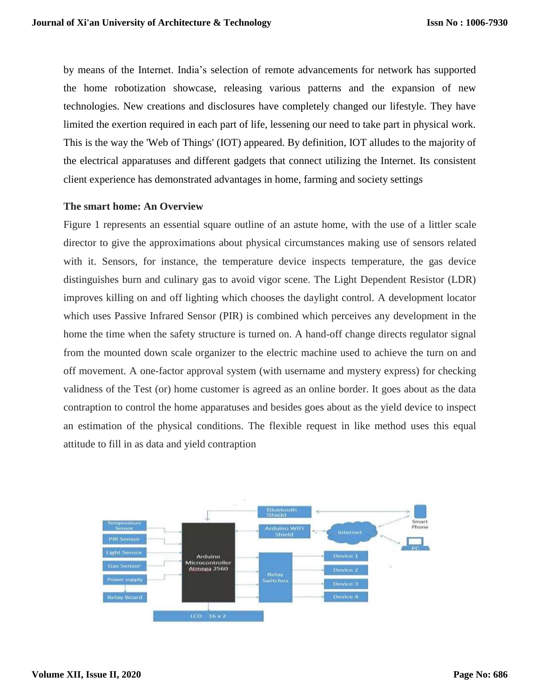by means of the Internet. India's selection of remote advancements for network has supported the home robotization showcase, releasing various patterns and the expansion of new technologies. New creations and disclosures have completely changed our lifestyle. They have limited the exertion required in each part of life, lessening our need to take part in physical work. This is the way the 'Web of Things' (IOT) appeared. By definition, IOT alludes to the majority of the electrical apparatuses and different gadgets that connect utilizing the Internet. Its consistent client experience has demonstrated advantages in home, farming and society settings

## **The smart home: An Overview**

Figure 1 represents an essential square outline of an astute home, with the use of a littler scale director to give the approximations about physical circumstances making use of sensors related with it. Sensors, for instance, the temperature device inspects temperature, the gas device distinguishes burn and culinary gas to avoid vigor scene. The Light Dependent Resistor (LDR) improves killing on and off lighting which chooses the daylight control. A development locator which uses Passive Infrared Sensor (PIR) is combined which perceives any development in the home the time when the safety structure is turned on. A hand-off change directs regulator signal from the mounted down scale organizer to the electric machine used to achieve the turn on and off movement. A one-factor approval system (with username and mystery express) for checking validness of the Test (or) home customer is agreed as an online border. It goes about as the data contraption to control the home apparatuses and besides goes about as the yield device to inspect an estimation of the physical conditions. The flexible request in like method uses this equal attitude to fill in as data and yield contraption

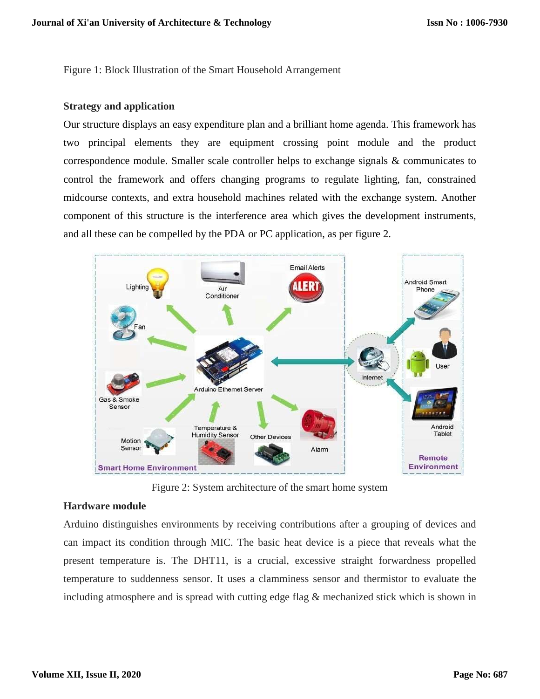Figure 1: Block Illustration of the Smart Household Arrangement

### **Strategy and application**

Our structure displays an easy expenditure plan and a brilliant home agenda. This framework has two principal elements they are equipment crossing point module and the product correspondence module. Smaller scale controller helps to exchange signals & communicates to control the framework and offers changing programs to regulate lighting, fan, constrained midcourse contexts, and extra household machines related with the exchange system. Another component of this structure is the interference area which gives the development instruments, and all these can be compelled by the PDA or PC application, as per figure 2.



Figure 2: System architecture of the smart home system

## **Hardware module**

Arduino distinguishes environments by receiving contributions after a grouping of devices and can impact its condition through MIC. The basic heat device is a piece that reveals what the present temperature is. The DHT11, is a crucial, excessive straight forwardness propelled temperature to suddenness sensor. It uses a clamminess sensor and thermistor to evaluate the including atmosphere and is spread with cutting edge flag & mechanized stick which is shown in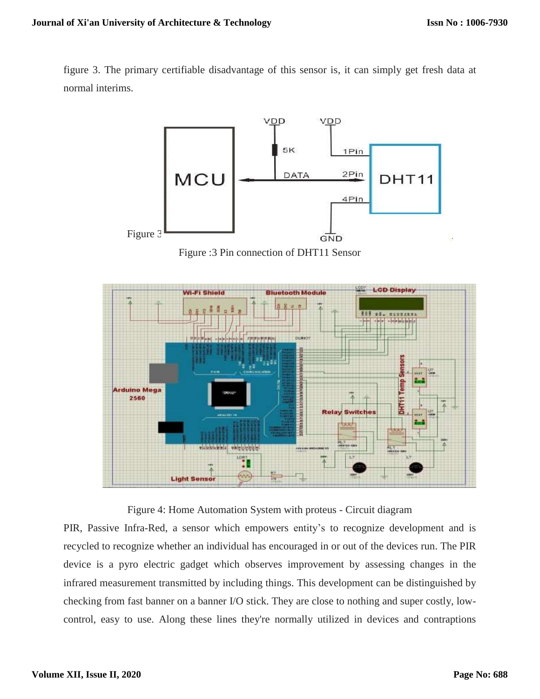figure 3. The primary certifiable disadvantage of this sensor is, it can simply get fresh data at normal interims.



Figure :3 Pin connection of DHT11 Sensor



Figure 4: Home Automation System with proteus - Circuit diagram

PIR, Passive Infra-Red, a sensor which empowers entity's to recognize development and is recycled to recognize whether an individual has encouraged in or out of the devices run. The PIR device is a pyro electric gadget which observes improvement by assessing changes in the infrared measurement transmitted by including things. This development can be distinguished by checking from fast banner on a banner I/O stick. They are close to nothing and super costly, lowcontrol, easy to use. Along these lines they're normally utilized in devices and contraptions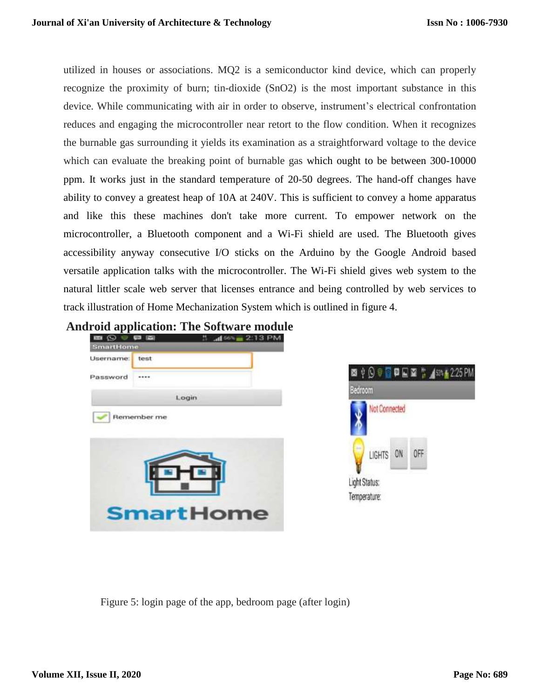utilized in houses or associations. MQ2 is a semiconductor kind device, which can properly recognize the proximity of burn; tin-dioxide (SnO2) is the most important substance in this device. While communicating with air in order to observe, instrument's electrical confrontation reduces and engaging the microcontroller near retort to the flow condition. When it recognizes the burnable gas surrounding it yields its examination as a straightforward voltage to the device which can evaluate the breaking point of burnable gas which ought to be between 300-10000 ppm. It works just in the standard temperature of 20-50 degrees. The hand-off changes have ability to convey a greatest heap of 10A at 240V. This is sufficient to convey a home apparatus and like this these machines don't take more current. To empower network on the microcontroller, a Bluetooth component and a Wi-Fi shield are used. The Bluetooth gives accessibility anyway consecutive I/O sticks on the Arduino by the Google Android based versatile application talks with the microcontroller. The Wi-Fi shield gives web system to the natural littler scale web server that licenses entrance and being controlled by web services to track illustration of Home Mechanization System which is outlined in figure 4.







Figure 5: login page of the app, bedroom page (after login)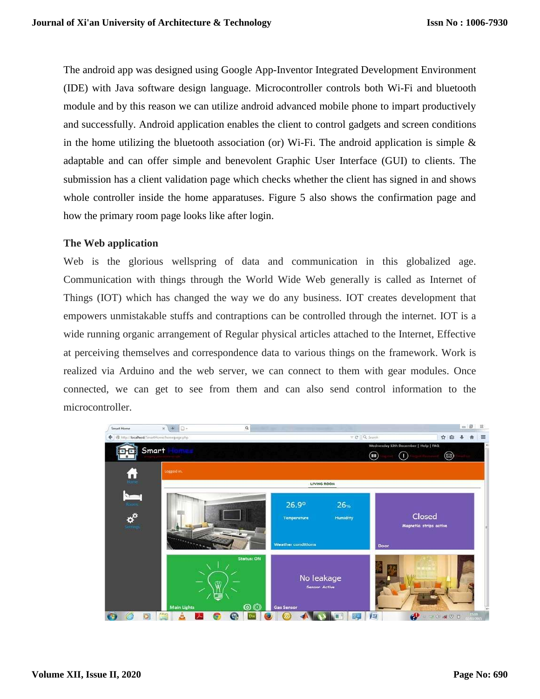The android app was designed using Google App-Inventor Integrated Development Environment (IDE) with Java software design language. Microcontroller controls both Wi-Fi and bluetooth module and by this reason we can utilize android advanced mobile phone to impart productively and successfully. Android application enables the client to control gadgets and screen conditions in the home utilizing the bluetooth association (or) Wi-Fi. The android application is simple  $\&$ adaptable and can offer simple and benevolent Graphic User Interface (GUI) to clients. The submission has a client validation page which checks whether the client has signed in and shows whole controller inside the home apparatuses. Figure 5 also shows the confirmation page and how the primary room page looks like after login.

# **The Web application**

Web is the glorious wellspring of data and communication in this globalized age. Communication with things through the World Wide Web generally is called as Internet of Things (IOT) which has changed the way we do any business. IOT creates development that empowers unmistakable stuffs and contraptions can be controlled through the internet. IOT is a wide running organic arrangement of Regular physical articles attached to the Internet, Effective at perceiving themselves and correspondence data to various things on the framework. Work is realized via Arduino and the web server, we can connect to them with gear modules. Once connected, we can get to see from them and can also send control information to the microcontroller.

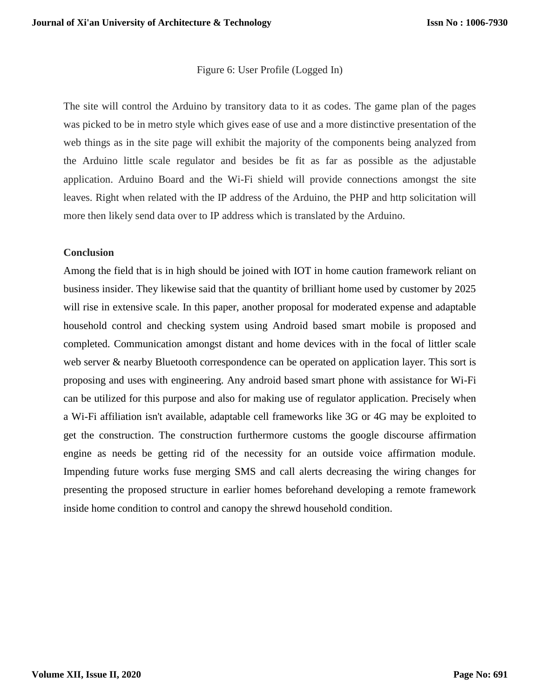### Figure 6: User Profile (Logged In)

The site will control the Arduino by transitory data to it as codes. The game plan of the pages was picked to be in metro style which gives ease of use and a more distinctive presentation of the web things as in the site page will exhibit the majority of the components being analyzed from the Arduino little scale regulator and besides be fit as far as possible as the adjustable application. Arduino Board and the Wi-Fi shield will provide connections amongst the site leaves. Right when related with the IP address of the Arduino, the PHP and http solicitation will more then likely send data over to IP address which is translated by the Arduino.

## **Conclusion**

Among the field that is in high should be joined with IOT in home caution framework reliant on business insider. They likewise said that the quantity of brilliant home used by customer by 2025 will rise in extensive scale. In this paper, another proposal for moderated expense and adaptable household control and checking system using Android based smart mobile is proposed and completed. Communication amongst distant and home devices with in the focal of littler scale web server & nearby Bluetooth correspondence can be operated on application layer. This sort is proposing and uses with engineering. Any android based smart phone with assistance for Wi-Fi can be utilized for this purpose and also for making use of regulator application. Precisely when a Wi-Fi affiliation isn't available, adaptable cell frameworks like 3G or 4G may be exploited to get the construction. The construction furthermore customs the google discourse affirmation engine as needs be getting rid of the necessity for an outside voice affirmation module. Impending future works fuse merging SMS and call alerts decreasing the wiring changes for presenting the proposed structure in earlier homes beforehand developing a remote framework inside home condition to control and canopy the shrewd household condition.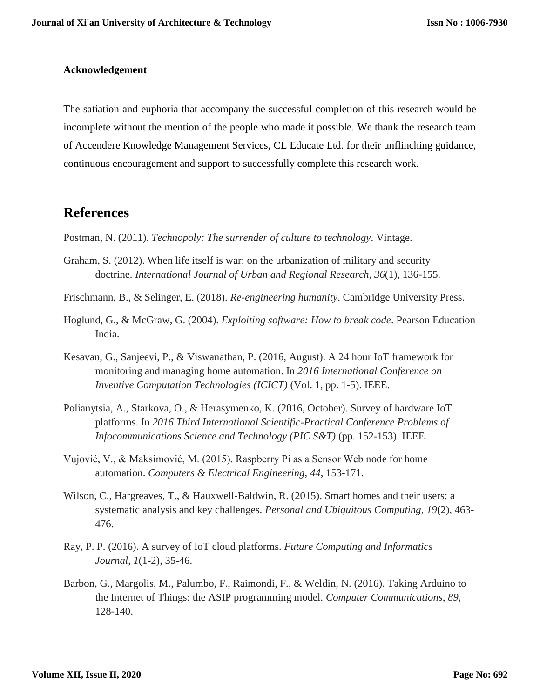# **Acknowledgement**

The satiation and euphoria that accompany the successful completion of this research would be incomplete without the mention of the people who made it possible. We thank the research team of Accendere Knowledge Management Services, CL Educate Ltd. for their unflinching guidance, continuous encouragement and support to successfully complete this research work.

# **References**

Postman, N. (2011). *Technopoly: The surrender of culture to technology*. Vintage.

- Graham, S. (2012). When life itself is war: on the urbanization of military and security doctrine. *International Journal of Urban and Regional Research*, *36*(1), 136-155.
- Frischmann, B., & Selinger, E. (2018). *Re-engineering humanity*. Cambridge University Press.
- Hoglund, G., & McGraw, G. (2004). *Exploiting software: How to break code*. Pearson Education India.
- Kesavan, G., Sanjeevi, P., & Viswanathan, P. (2016, August). A 24 hour IoT framework for monitoring and managing home automation. In *2016 International Conference on Inventive Computation Technologies (ICICT)* (Vol. 1, pp. 1-5). IEEE.
- Polianytsia, A., Starkova, O., & Herasymenko, K. (2016, October). Survey of hardware IoT platforms. In *2016 Third International Scientific-Practical Conference Problems of Infocommunications Science and Technology (PIC S&T)* (pp. 152-153). IEEE.
- Vujović, V., & Maksimović, M. (2015). Raspberry Pi as a Sensor Web node for home automation. *Computers & Electrical Engineering*, *44*, 153-171.
- Wilson, C., Hargreaves, T., & Hauxwell-Baldwin, R. (2015). Smart homes and their users: a systematic analysis and key challenges. *Personal and Ubiquitous Computing*, *19*(2), 463- 476.
- Ray, P. P. (2016). A survey of IoT cloud platforms. *Future Computing and Informatics Journal*, *1*(1-2), 35-46.
- Barbon, G., Margolis, M., Palumbo, F., Raimondi, F., & Weldin, N. (2016). Taking Arduino to the Internet of Things: the ASIP programming model. *Computer Communications*, *89*, 128-140.